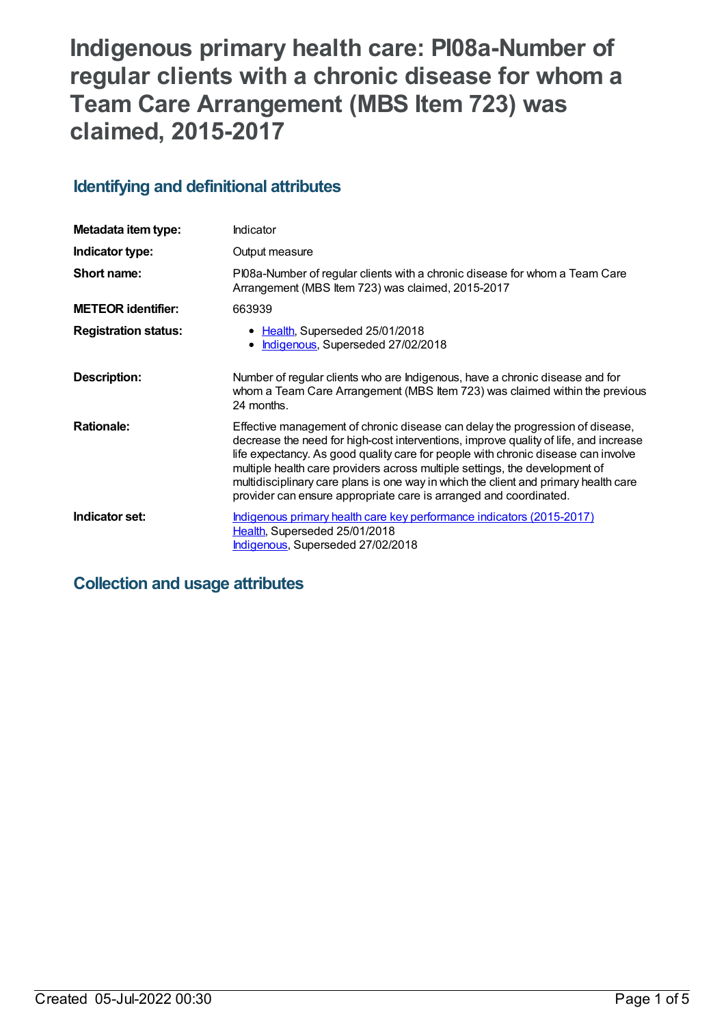# **Indigenous primary health care: PI08a-Number of regular clients with a chronic disease for whom a Team Care Arrangement (MBS Item 723) was claimed, 2015-2017**

## **Identifying and definitional attributes**

| Metadata item type:         | <b>Indicator</b>                                                                                                                                                                                                                                                                                                                                                                                                                                                                                      |
|-----------------------------|-------------------------------------------------------------------------------------------------------------------------------------------------------------------------------------------------------------------------------------------------------------------------------------------------------------------------------------------------------------------------------------------------------------------------------------------------------------------------------------------------------|
| Indicator type:             | Output measure                                                                                                                                                                                                                                                                                                                                                                                                                                                                                        |
| Short name:                 | PI08a-Number of regular clients with a chronic disease for whom a Team Care<br>Arrangement (MBS Item 723) was claimed, 2015-2017                                                                                                                                                                                                                                                                                                                                                                      |
| <b>METEOR identifier:</b>   | 663939                                                                                                                                                                                                                                                                                                                                                                                                                                                                                                |
| <b>Registration status:</b> | • Health, Superseded 25/01/2018<br>Indigenous, Superseded 27/02/2018                                                                                                                                                                                                                                                                                                                                                                                                                                  |
| Description:                | Number of regular clients who are Indigenous, have a chronic disease and for<br>whom a Team Care Arrangement (MBS Item 723) was claimed within the previous<br>24 months.                                                                                                                                                                                                                                                                                                                             |
| <b>Rationale:</b>           | Effective management of chronic disease can delay the progression of disease,<br>decrease the need for high-cost interventions, improve quality of life, and increase<br>life expectancy. As good quality care for people with chronic disease can involve<br>multiple health care providers across multiple settings, the development of<br>multidisciplinary care plans is one way in which the client and primary health care<br>provider can ensure appropriate care is arranged and coordinated. |
| Indicator set:              | Indigenous primary health care key performance indicators (2015-2017)<br>Health, Superseded 25/01/2018<br>Indigenous, Superseded 27/02/2018                                                                                                                                                                                                                                                                                                                                                           |

## **Collection and usage attributes**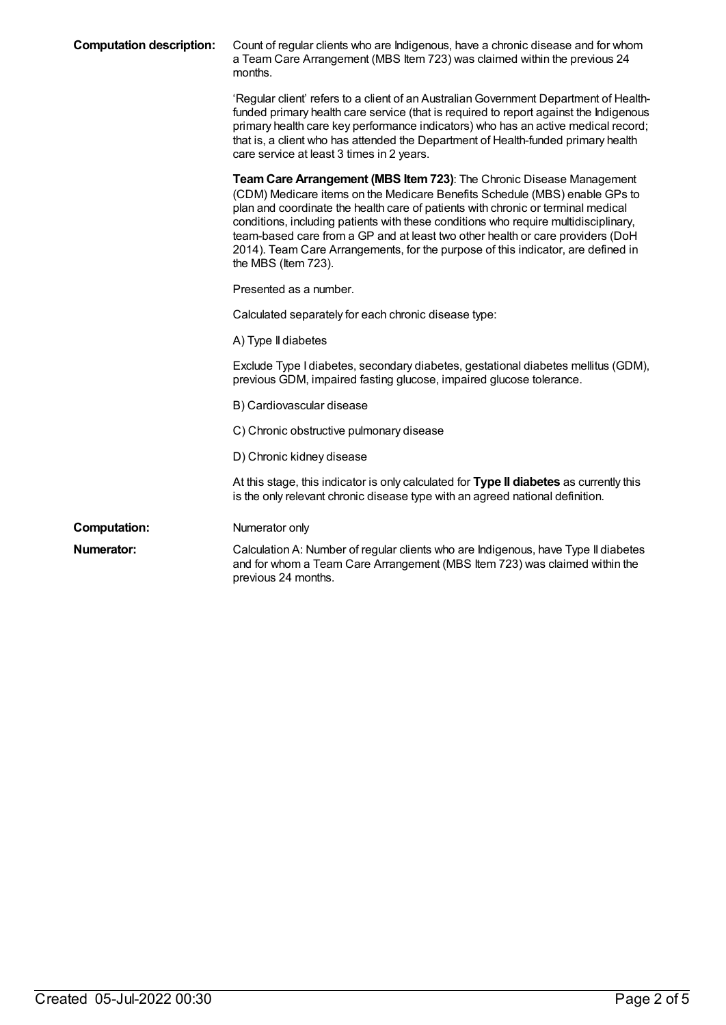| <b>Computation description:</b> | Count of regular clients who are Indigenous, have a chronic disease and for whom<br>a Team Care Arrangement (MBS Item 723) was claimed within the previous 24<br>months.                                                                                                                                                                                                                                                                                                                                                   |
|---------------------------------|----------------------------------------------------------------------------------------------------------------------------------------------------------------------------------------------------------------------------------------------------------------------------------------------------------------------------------------------------------------------------------------------------------------------------------------------------------------------------------------------------------------------------|
|                                 | 'Regular client' refers to a client of an Australian Government Department of Health-<br>funded primary health care service (that is required to report against the Indigenous<br>primary health care key performance indicators) who has an active medical record;<br>that is, a client who has attended the Department of Health-funded primary health<br>care service at least 3 times in 2 years.                                                                                                                      |
|                                 | Team Care Arrangement (MBS Item 723): The Chronic Disease Management<br>(CDM) Medicare items on the Medicare Benefits Schedule (MBS) enable GPs to<br>plan and coordinate the health care of patients with chronic or terminal medical<br>conditions, including patients with these conditions who require multidisciplinary,<br>team-based care from a GP and at least two other health or care providers (DoH<br>2014). Team Care Arrangements, for the purpose of this indicator, are defined in<br>the MBS (Item 723). |
|                                 | Presented as a number.                                                                                                                                                                                                                                                                                                                                                                                                                                                                                                     |
|                                 | Calculated separately for each chronic disease type:                                                                                                                                                                                                                                                                                                                                                                                                                                                                       |
|                                 | A) Type II diabetes                                                                                                                                                                                                                                                                                                                                                                                                                                                                                                        |
|                                 | Exclude Type I diabetes, secondary diabetes, gestational diabetes mellitus (GDM),<br>previous GDM, impaired fasting glucose, impaired glucose tolerance.                                                                                                                                                                                                                                                                                                                                                                   |
|                                 | B) Cardiovascular disease                                                                                                                                                                                                                                                                                                                                                                                                                                                                                                  |
|                                 | C) Chronic obstructive pulmonary disease                                                                                                                                                                                                                                                                                                                                                                                                                                                                                   |
|                                 | D) Chronic kidney disease                                                                                                                                                                                                                                                                                                                                                                                                                                                                                                  |
|                                 | At this stage, this indicator is only calculated for Type II diabetes as currently this<br>is the only relevant chronic disease type with an agreed national definition.                                                                                                                                                                                                                                                                                                                                                   |
| <b>Computation:</b>             | Numerator only                                                                                                                                                                                                                                                                                                                                                                                                                                                                                                             |
| <b>Numerator:</b>               | Calculation A: Number of regular clients who are Indigenous, have Type II diabetes<br>and for whom a Team Care Arrangement (MBS Item 723) was claimed within the<br>previous 24 months.                                                                                                                                                                                                                                                                                                                                    |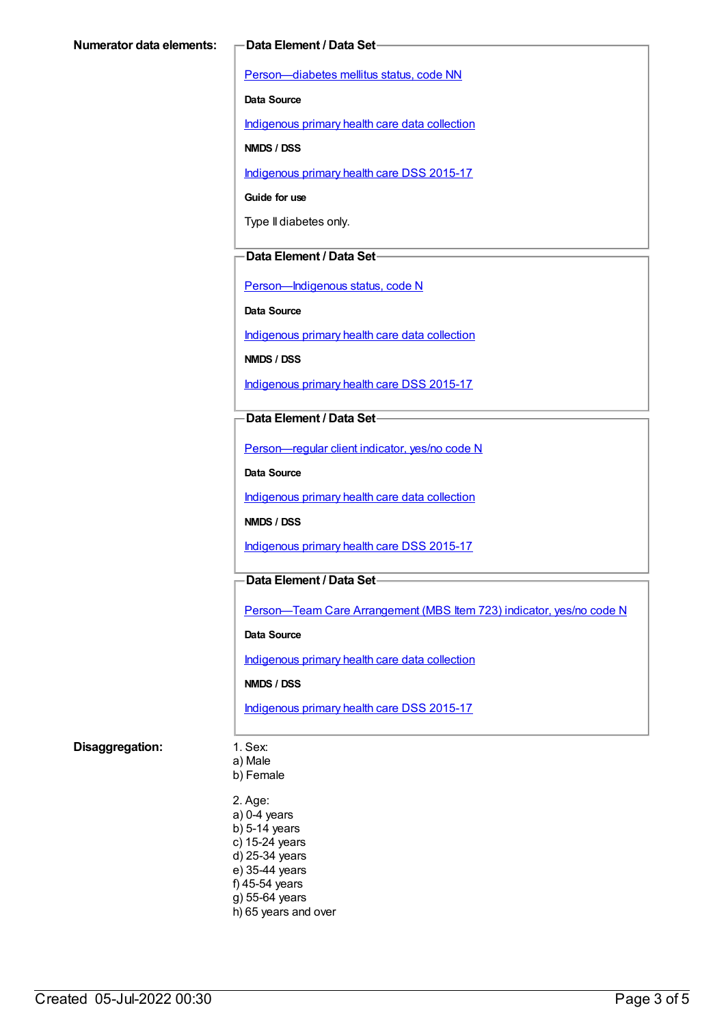[Person—diabetes](https://meteor.aihw.gov.au/content/270194) mellitus status, code NN

**Data Source**

[Indigenous](https://meteor.aihw.gov.au/content/430643) primary health care data collection

**NMDS / DSS**

[Indigenous](https://meteor.aihw.gov.au/content/585036) primary health care DSS 2015-17

**Guide for use**

Type II diabetes only.

#### **Data Element / Data Set**

[Person—Indigenous](https://meteor.aihw.gov.au/content/291036) status, code N

**Data Source**

[Indigenous](https://meteor.aihw.gov.au/content/430643) primary health care data collection

**NMDS / DSS**

[Indigenous](https://meteor.aihw.gov.au/content/585036) primary health care DSS 2015-17

#### **Data Element / Data Set**

[Person—regular](https://meteor.aihw.gov.au/content/436639) client indicator, yes/no code N

**Data Source**

[Indigenous](https://meteor.aihw.gov.au/content/430643) primary health care data collection

**NMDS / DSS**

[Indigenous](https://meteor.aihw.gov.au/content/585036) primary health care DSS 2015-17

#### **Data Element / Data Set**

[Person—Team](https://meteor.aihw.gov.au/content/504991) Care Arrangement (MBS Item 723) indicator, yes/no code N

**Data Source**

[Indigenous](https://meteor.aihw.gov.au/content/430643) primary health care data collection

**NMDS / DSS**

[Indigenous](https://meteor.aihw.gov.au/content/585036) primary health care DSS 2015-17

#### **Disaggregation:** 1. Sex:

a) Male

b) Female

2. Age: a) 0-4 years b) 5-14 years c) 15-24 years d) 25-34 years e) 35-44 years f) 45-54 years g) 55-64 years h) 65 years and over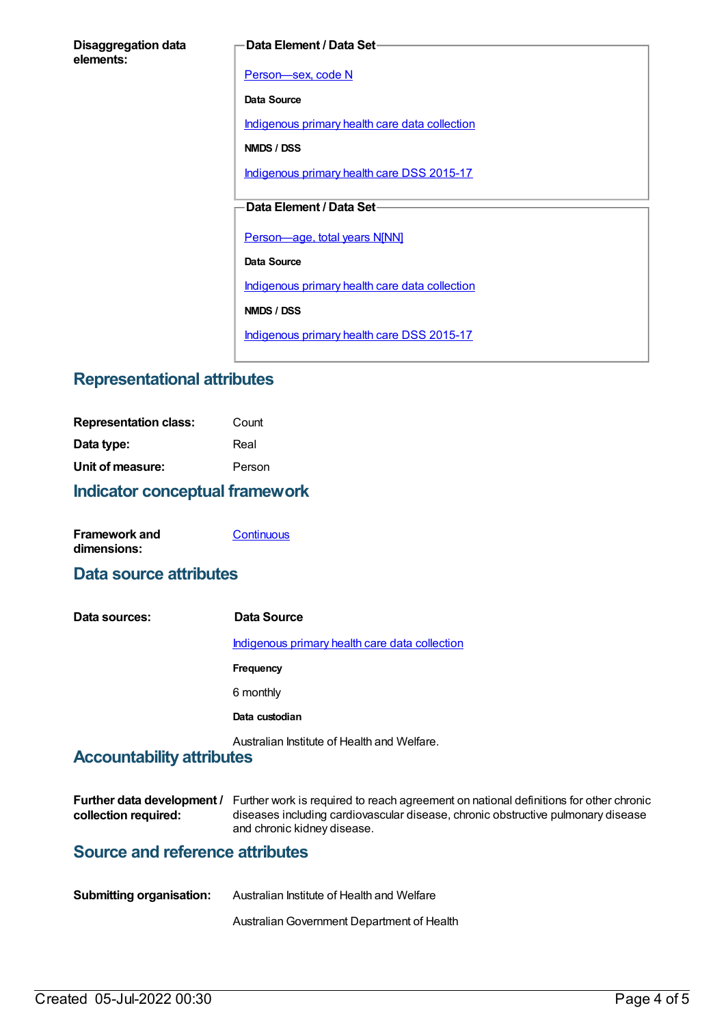#### **Data Element / Data Set**

[Person—sex,](https://meteor.aihw.gov.au/content/287316) code N

**Data Source**

[Indigenous](https://meteor.aihw.gov.au/content/430643) primary health care data collection

**NMDS / DSS**

[Indigenous](https://meteor.aihw.gov.au/content/585036) primary health care DSS 2015-17

### **Data Element / Data Set**

[Person—age,](https://meteor.aihw.gov.au/content/303794) total years N[NN]

**Data Source**

[Indigenous](https://meteor.aihw.gov.au/content/430643) primary health care data collection

**NMDS / DSS**

[Indigenous](https://meteor.aihw.gov.au/content/585036) primary health care DSS 2015-17

## **Representational attributes**

| <b>Indicator conceptual framework</b> |        |
|---------------------------------------|--------|
| Unit of measure:                      | Person |
| Data type:                            | Real   |
| <b>Representation class:</b>          | Count  |

| <b>Framework and</b> | Continuous |
|----------------------|------------|
| dimensions:          |            |

## **Data source attributes**

| Data sources: | Data Source                                    |
|---------------|------------------------------------------------|
|               | Indigenous primary health care data collection |
|               | Frequency                                      |
|               | 6 monthly                                      |
|               | Data custodian                                 |
|               | Australian Institute of Health and Welfare.    |

## **Accountability attributes**

|                      | Further data development / Further work is required to reach agreement on national definitions for other chronic |
|----------------------|------------------------------------------------------------------------------------------------------------------|
| collection required: | diseases including cardiovascular disease, chronic obstructive pulmonary disease                                 |
|                      | and chronic kidney disease.                                                                                      |

## **Source and reference attributes**

| <b>Submitting organisation:</b> | Australian Institute of Health and Welfare |
|---------------------------------|--------------------------------------------|
|                                 | Australian Government Department of Health |